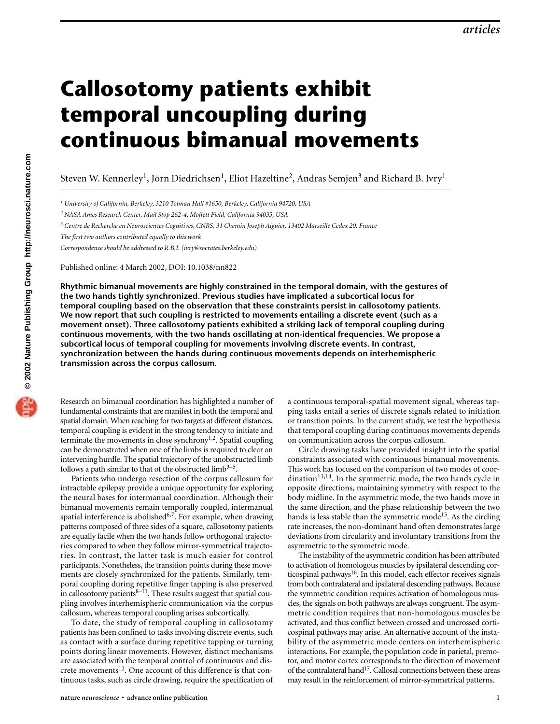# **Callosotomy patients exhibit temporal uncoupling during continuous bimanual movements**

Steven W. Kennerley<sup>1</sup>, Jörn Diedrichsen<sup>1</sup>, Eliot Hazeltine<sup>2</sup>, Andras Semjen<sup>3</sup> and Richard B. Ivry<sup>1</sup>

*<sup>1</sup> University of California, Berkeley, 3210 Tolman Hall #1650, Berkeley, California 94720, USA*

*<sup>2</sup> NASA Ames Research Center, Mail Stop 262-4, Moffett Field, California 94035, USA*

*<sup>3</sup> Centre de Recherche en Neurosciences Cognitives, CNRS, 31 Chemin Joseph Aiguier, 13402 Marseille Cedex 20, France* 

*The first two authors contributed equally to this work*

*Correspondence should be addressed to R.B.I. (ivry@socrates.berkeley.edu)*

Published online: 4 March 2002, DOI: 10.1038/nn822

**Rhythmic bimanual movements are highly constrained in the temporal domain, with the gestures of the two hands tightly synchronized. Previous studies have implicated a subcortical locus for temporal coupling based on the observation that these constraints persist in callosotomy patients. We now report that such coupling is restricted to movements entailing a discrete event (such as a movement onset). Three callosotomy patients exhibited a striking lack of temporal coupling during continuous movements, with the two hands oscillating at non-identical frequencies. We propose a subcortical locus of temporal coupling for movements involving discrete events. In contrast, synchronization between the hands during continuous movements depends on interhemispheric transmission across the corpus callosum.**

Research on bimanual coordination has highlighted a number of fundamental constraints that are manifest in both the temporal and spatial domain. When reaching for two targets at different distances, temporal coupling is evident in the strong tendency to initiate and terminate the movements in close synchrony<sup>1,2</sup>. Spatial coupling can be demonstrated when one of the limbs is required to clear an intervening hurdle. The spatial trajectory of the unobstructed limb follows a path similar to that of the obstructed  $limb^{3-5}$ .

Patients who undergo resection of the corpus callosum for intractable epilepsy provide a unique opportunity for exploring the neural bases for intermanual coordination. Although their bimanual movements remain temporally coupled, intermanual spatial interference is abolished<sup>6,7</sup>. For example, when drawing patterns composed of three sides of a square, callosotomy patients are equally facile when the two hands follow orthogonal trajectories compared to when they follow mirror-symmetrical trajectories. In contrast, the latter task is much easier for control participants. Nonetheless, the transition points during these movements are closely synchronized for the patients. Similarly, temporal coupling during repetitive finger tapping is also preserved in callosotomy patients $8-11$ . These results suggest that spatial coupling involves interhemispheric communication via the corpus callosum, whereas temporal coupling arises subcortically.

To date, the study of temporal coupling in callosotomy patients has been confined to tasks involving discrete events, such as contact with a surface during repetitive tapping or turning points during linear movements. However, distinct mechanisms are associated with the temporal control of continuous and discrete movements<sup>12</sup>. One account of this difference is that continuous tasks, such as circle drawing, require the specification of a continuous temporal-spatial movement signal, whereas tapping tasks entail a series of discrete signals related to initiation or transition points. In the current study, we test the hypothesis that temporal coupling during continuous movements depends on communication across the corpus callosum.

Circle drawing tasks have provided insight into the spatial constraints associated with continuous bimanual movements. This work has focused on the comparison of two modes of coordination<sup>13,14</sup>. In the symmetric mode, the two hands cycle in opposite directions, maintaining symmetry with respect to the body midline. In the asymmetric mode, the two hands move in the same direction, and the phase relationship between the two hands is less stable than the symmetric mode<sup>15</sup>. As the circling rate increases, the non-dominant hand often demonstrates large deviations from circularity and involuntary transitions from the asymmetric to the symmetric mode.

The instability of the asymmetric condition has been attributed to activation of homologous muscles by ipsilateral descending corticospinal pathways<sup>16</sup>. In this model, each effector receives signals from both contralateral and ipsilateral descending pathways. Because the symmetric condition requires activation of homologous muscles, the signals on both pathways are always congruent. The asymmetric condition requires that non-homologous muscles be activated, and thus conflict between crossed and uncrossed corticospinal pathways may arise. An alternative account of the instability of the asymmetric mode centers on interhemispheric interactions. For example, the population code in parietal, premotor, and motor cortex corresponds to the direction of movement of the contralateral hand<sup>17</sup>. Callosal connections between these areas may result in the reinforcement of mirror-symmetrical patterns.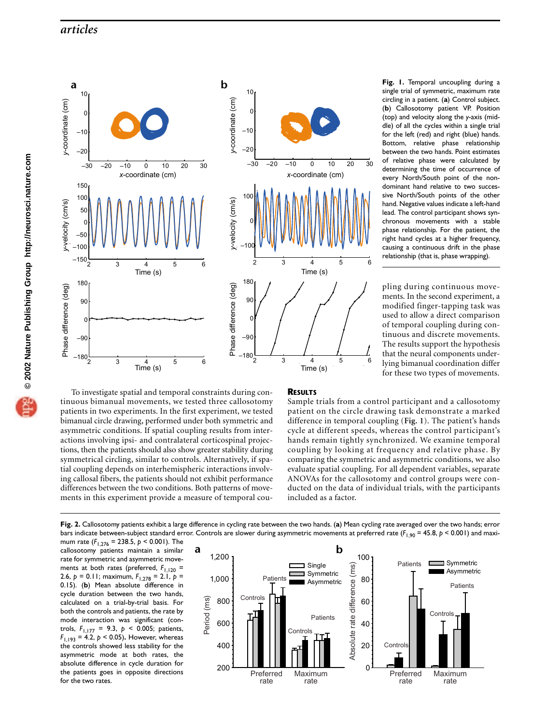# *articles*



**Fig. 1.** Temporal uncoupling during a single trial of symmetric, maximum rate circling in a patient. (**a**) Control subject. (**b**) Callosotomy patient VP. Position (top) and velocity along the *y*-axis (middle) of all the cycles within a single trial for the left (red) and right (blue) hands. Bottom, relative phase relationship between the two hands. Point estimates of relative phase were calculated by determining the time of occurrence of every North/South point of the nondominant hand relative to two successive North/South points of the other hand. Negative values indicate a left-hand lead. The control participant shows synchronous movements with a stable phase relationship. For the patient, the right hand cycles at a higher frequency, causing a continuous drift in the phase relationship (that is, phase wrapping).

pling during continuous movements. In the second experiment, a modified finger-tapping task was used to allow a direct comparison of temporal coupling during continuous and discrete movements. The results support the hypothesis that the neural components underlying bimanual coordination differ for these two types of movements.

To investigate spatial and temporal constraints during continuous bimanual movements, we tested three callosotomy patients in two experiments. In the first experiment, we tested bimanual circle drawing, performed under both symmetric and asymmetric conditions. If spatial coupling results from interactions involving ipsi- and contralateral corticospinal projections, then the patients should also show greater stability during symmetrical circling, similar to controls. Alternatively, if spatial coupling depends on interhemispheric interactions involving callosal fibers, the patients should not exhibit performance differences between the two conditions. Both patterns of movements in this experiment provide a measure of temporal cou-

# **RESULTS**

Sample trials from a control participant and a callosotomy patient on the circle drawing task demonstrate a marked difference in temporal coupling (**Fig. 1**). The patient's hands cycle at different speeds, whereas the control participant's hands remain tightly synchronized. We examine temporal coupling by looking at frequency and relative phase. By comparing the symmetric and asymmetric conditions, we also evaluate spatial coupling. For all dependent variables, separate ANOVAs for the callosotomy and control groups were conducted on the data of individual trials, with the participants included as a factor.

**Fig. 2.** Callosotomy patients exhibit a large difference in cycling rate between the two hands. (**a**) Mean cycling rate averaged over the two hands; error bars indicate between-subject standard error. Controls are slower during asymmetric movements at preferred rate ( $F_{1,90}$  = 45.8,  $p$  < 0.001) and maxi-

mum rate (*F*1,276 = 238.5, *p* < 0.001). The callosotomy patients maintain a similar rate for symmetric and asymmetric movements at both rates (preferred,  $F_{1,120}$  = 2.6, *p* = 0.11; maximum, *F*1,278 = 2.1, *p* = 0.15). (**b**) Mean absolute difference in cycle duration between the two hands, calculated on a trial-by-trial basis. For both the controls and patients, the rate by mode interaction was significant (controls, *F*1,177 = 9.3, *p* < 0.005; patients,  $F_{1,193} = 4.2, p < 0.05$ ). However, whereas the controls showed less stability for the asymmetric mode at both rates, the absolute difference in cycle duration for the patients goes in opposite directions for the two rates.

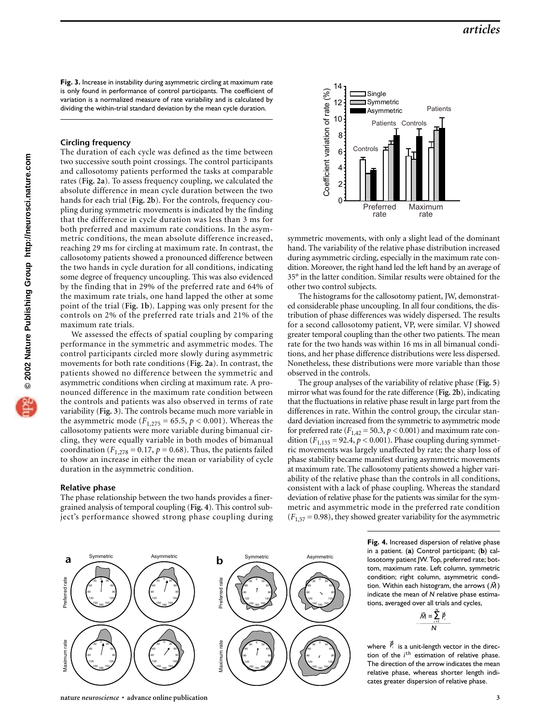**Fig. 3.** Increase in instability during asymmetric circling at maximum rate is only found in performance of control participants. The coefficient of variation is a normalized measure of rate variability and is calculated by dividing the within-trial standard deviation by the mean cycle duration.

## **Circling frequency**

The duration of each cycle was defined as the time between two successive south point crossings. The control participants and callosotomy patients performed the tasks at comparable rates (**Fig. 2a**). To assess frequency coupling, we calculated the absolute difference in mean cycle duration between the two hands for each trial (**Fig. 2b**). For the controls, frequency coupling during symmetric movements is indicated by the finding that the difference in cycle duration was less than 3 ms for both preferred and maximum rate conditions. In the asymmetric conditions, the mean absolute difference increased, reaching 29 ms for circling at maximum rate. In contrast, the callosotomy patients showed a pronounced difference between the two hands in cycle duration for all conditions, indicating some degree of frequency uncoupling. This was also evidenced by the finding that in 29% of the preferred rate and 64% of the maximum rate trials, one hand lapped the other at some point of the trial (**Fig. 1b**). Lapping was only present for the controls on 2% of the preferred rate trials and 21% of the maximum rate trials.

We assessed the effects of spatial coupling by comparing performance in the symmetric and asymmetric modes. The control participants circled more slowly during asymmetric movements for both rate conditions (**Fig. 2a**). In contrast, the patients showed no difference between the symmetric and asymmetric conditions when circling at maximum rate. A pronounced difference in the maximum rate condition between the controls and patients was also observed in terms of rate variability (**Fig. 3**). The controls became much more variable in the asymmetric mode ( $F_{1,275} = 65.5$ ,  $p < 0.001$ ). Whereas the callosotomy patients were more variable during bimanual circling, they were equally variable in both modes of bimanual coordination ( $F_{1,278} = 0.17$ ,  $p = 0.68$ ). Thus, the patients failed to show an increase in either the mean or variability of cycle duration in the asymmetric condition.

# **Relative phase**

The phase relationship between the two hands provides a finergrained analysis of temporal coupling (**Fig. 4**). This control subject's performance showed strong phase coupling during



symmetric movements, with only a slight lead of the dominant hand. The variability of the relative phase distribution increased during asymmetric circling, especially in the maximum rate condition. Moreover, the right hand led the left hand by an average of 35° in the latter condition. Similar results were obtained for the other two control subjects.

The histograms for the callosotomy patient, JW, demonstrated considerable phase uncoupling. In all four conditions, the distribution of phase differences was widely dispersed. The results for a second callosotomy patient, VP, were similar. VJ showed greater temporal coupling than the other two patients. The mean rate for the two hands was within 16 ms in all bimanual conditions, and her phase difference distributions were less dispersed. Nonetheless, these distributions were more variable than those observed in the controls.

The group analyses of the variability of relative phase (**Fig. 5**) mirror what was found for the rate difference (**Fig. 2b**), indicating that the fluctuations in relative phase result in large part from the differences in rate. Within the control group, the circular standard deviation increased from the symmetric to asymmetric mode for preferred rate ( $F_{1,42} = 50.3$ ,  $p < 0.001$ ) and maximum rate condition  $(F_{1,135} = 92.4, p < 0.001)$ . Phase coupling during symmetric movements was largely unaffected by rate; the sharp loss of phase stability became manifest during asymmetric movements at maximum rate. The callosotomy patients showed a higher variability of the relative phase than the controls in all conditions, consistent with a lack of phase coupling. Whereas the standard deviation of relative phase for the patients was similar for the symmetric and asymmetric mode in the preferred rate condition  $(F_{1,57} = 0.98)$ , they showed greater variability for the asymmetric



**nature** *neuroscience* **• advance online publication 3**

**Fig. 4.** Increased dispersion of relative phase in a patient. (**a**) Control participant; (**b**) callosotomy patient JW. Top, preferred rate; bottom, maximum rate. Left column, symmetric condition; right column, asymmetric condition. Within each histogram, the arrows  $(\vec{M})$ indicate the mean of *N* relative phase estimations, averaged over all trials and cycles,

$$
\frac{\vec{M} = \sum_{i=1}^{N} \vec{P}_i}{N}
$$

where  $\vec{P}_i$  is a unit-length vector in the direction of the *i*<sup>th</sup> estimation of relative phase. The direction of the arrow indicates the mean relative phase, whereas shorter length indicates greater dispersion of relative phase.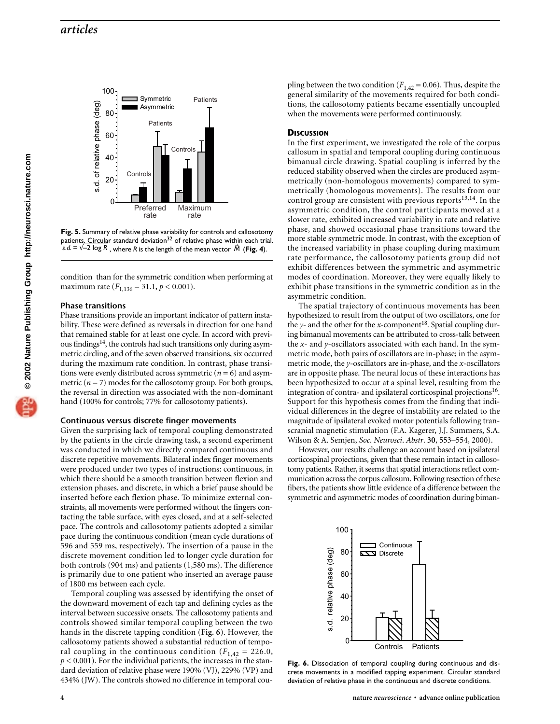

**Fig. 5.** Summary of relative phase variability for controls and callosotomy patients. Circular standard deviation<sup>32</sup> of relative phase within each trial.<br>s.d. =  $\sqrt{-2} \log R$ , where R is the length of the mean vector  $\vec{M}$  (**Fig. 4**).

condition than for the symmetric condition when performing at maximum rate  $(F_{1,136} = 31.1, p < 0.001)$ .

### **Phase transitions**

Phase transitions provide an important indicator of pattern instability. These were defined as reversals in direction for one hand that remained stable for at least one cycle. In accord with previous findings14, the controls had such transitions only during asymmetric circling, and of the seven observed transitions, six occurred during the maximum rate condition. In contrast, phase transitions were evenly distributed across symmetric (*n* = 6) and asymmetric  $(n = 7)$  modes for the callosotomy group. For both groups, the reversal in direction was associated with the non-dominant hand (100% for controls; 77% for callosotomy patients).

## **Continuous versus discrete finger movements**

Given the surprising lack of temporal coupling demonstrated by the patients in the circle drawing task, a second experiment was conducted in which we directly compared continuous and discrete repetitive movements. Bilateral index finger movements were produced under two types of instructions: continuous, in which there should be a smooth transition between flexion and extension phases, and discrete, in which a brief pause should be inserted before each flexion phase. To minimize external constraints, all movements were performed without the fingers contacting the table surface, with eyes closed, and at a self-selected pace. The controls and callosotomy patients adopted a similar pace during the continuous condition (mean cycle durations of 596 and 559 ms, respectively). The insertion of a pause in the discrete movement condition led to longer cycle duration for both controls (904 ms) and patients (1,580 ms). The difference is primarily due to one patient who inserted an average pause of 1800 ms between each cycle.

Temporal coupling was assessed by identifying the onset of the downward movement of each tap and defining cycles as the interval between successive onsets. The callosotomy patients and controls showed similar temporal coupling between the two hands in the discrete tapping condition (**Fig. 6**). However, the callosotomy patients showed a substantial reduction of temporal coupling in the continuous condition  $(F_{1,42} = 226.0,$  $p < 0.001$ ). For the individual patients, the increases in the standard deviation of relative phase were 190% (VJ), 229% (VP) and 434% (JW). The controls showed no difference in temporal coupling between the two condition ( $F_{1,42} = 0.06$ ). Thus, despite the general similarity of the movements required for both conditions, the callosotomy patients became essentially uncoupled when the movements were performed continuously.

#### **DISCUSSION**

In the first experiment, we investigated the role of the corpus callosum in spatial and temporal coupling during continuous bimanual circle drawing. Spatial coupling is inferred by the reduced stability observed when the circles are produced asymmetrically (non-homologous movements) compared to symmetrically (homologous movements). The results from our control group are consistent with previous reports $13,14$ . In the asymmetric condition, the control participants moved at a slower rate, exhibited increased variability in rate and relative phase, and showed occasional phase transitions toward the more stable symmetric mode. In contrast, with the exception of the increased variability in phase coupling during maximum rate performance, the callosotomy patients group did not exhibit differences between the symmetric and asymmetric modes of coordination. Moreover, they were equally likely to exhibit phase transitions in the symmetric condition as in the asymmetric condition.

The spatial trajectory of continuous movements has been hypothesized to result from the output of two oscillators, one for the  $y$ - and the other for the *x*-component<sup>18</sup>. Spatial coupling during bimanual movements can be attributed to cross-talk between the *x*- and *y*-oscillators associated with each hand. In the symmetric mode, both pairs of oscillators are in-phase; in the asymmetric mode, the *y*-oscillators are in-phase, and the *x*-oscillators are in opposite phase. The neural locus of these interactions has been hypothesized to occur at a spinal level, resulting from the integration of contra- and ipsilateral corticospinal projections<sup>16</sup>. Support for this hypothesis comes from the finding that individual differences in the degree of instability are related to the magnitude of ipsilateral evoked motor potentials following transcranial magnetic stimulation (F.A. Kagerer, J.J. Summers, S.A. Wilson & A. Semjen, *Soc*. *Neurosci*. *Abstr*. **30**, 553–554, 2000).

However, our results challenge an account based on ipsilateral corticospinal projections, given that these remain intact in callosotomy patients. Rather, it seems that spatial interactions reflect communication across the corpus callosum. Following resection of these fibers, the patients show little evidence of a difference between the symmetric and asymmetric modes of coordination during biman-



**Fig. 6.** Dissociation of temporal coupling during continuous and discrete movements in a modified tapping experiment. Circular standard deviation of relative phase in the continuous and discrete conditions.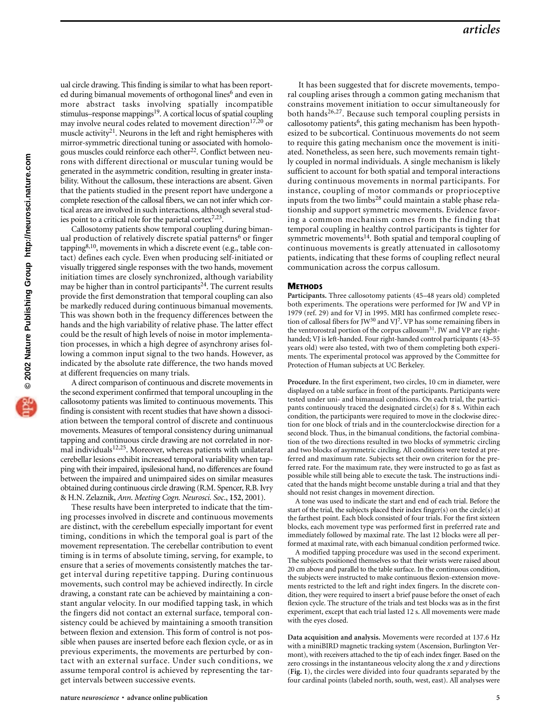ual circle drawing. This finding is similar to what has been reported during bimanual movements of orthogonal lines<sup>6</sup> and even in more abstract tasks involving spatially incompatible stimulus–response mappings19. A cortical locus of spatial coupling may involve neural codes related to movement direction<sup>17,20</sup> or muscle activity<sup>21</sup>. Neurons in the left and right hemispheres with mirror-symmetric directional tuning or associated with homologous muscles could reinforce each other<sup>22</sup>. Conflict between neurons with different directional or muscular tuning would be generated in the asymmetric condition, resulting in greater instability. Without the callosum, these interactions are absent. Given that the patients studied in the present report have undergone a complete resection of the callosal fibers, we can not infer which cortical areas are involved in such interactions, although several studies point to a critical role for the parietal cortex<sup>7,23</sup>.

Callosotomy patients show temporal coupling during bimanual production of relatively discrete spatial patterns<sup>6</sup> or finger tapping<sup>8,10</sup>, movements in which a discrete event (e.g., table contact) defines each cycle. Even when producing self-initiated or visually triggered single responses with the two hands, movement initiation times are closely synchronized, although variability may be higher than in control participants<sup>24</sup>. The current results provide the first demonstration that temporal coupling can also be markedly reduced during continuous bimanual movements. This was shown both in the frequency differences between the hands and the high variability of relative phase. The latter effect could be the result of high levels of noise in motor implementation processes, in which a high degree of asynchrony arises following a common input signal to the two hands. However, as indicated by the absolute rate difference, the two hands moved at different frequencies on many trials.

A direct comparison of continuous and discrete movements in the second experiment confirmed that temporal uncoupling in the callosotomy patients was limited to continuous movements. This finding is consistent with recent studies that have shown a dissociation between the temporal control of discrete and continuous movements. Measures of temporal consistency during unimanual tapping and continuous circle drawing are not correlated in normal individuals<sup>12,25</sup>. Moreover, whereas patients with unilateral cerebellar lesions exhibit increased temporal variability when tapping with their impaired, ipsilesional hand, no differences are found between the impaired and unimpaired sides on similar measures obtained during continuous circle drawing (R.M. Spencer, R.B. Ivry & H.N. Zelaznik, *Ann*. *Meeting Cogn. Neurosci. Soc*., **152**, 2001).

These results have been interpreted to indicate that the timing processes involved in discrete and continuous movements are distinct, with the cerebellum especially important for event timing, conditions in which the temporal goal is part of the movement representation. The cerebellar contribution to event timing is in terms of absolute timing, serving, for example, to ensure that a series of movements consistently matches the target interval during repetitive tapping. During continuous movements, such control may be achieved indirectly. In circle drawing, a constant rate can be achieved by maintaining a constant angular velocity. In our modified tapping task, in which the fingers did not contact an external surface, temporal consistency could be achieved by maintaining a smooth transition between flexion and extension. This form of control is not possible when pauses are inserted before each flexion cycle, or as in previous experiments, the movements are perturbed by contact with an external surface. Under such conditions, we assume temporal control is achieved by representing the target intervals between successive events.

It has been suggested that for discrete movements, temporal coupling arises through a common gating mechanism that constrains movement initiation to occur simultaneously for both hands<sup>26,27</sup>. Because such temporal coupling persists in callosotomy patients<sup>6</sup>, this gating mechanism has been hypothesized to be subcortical. Continuous movements do not seem to require this gating mechanism once the movement is initiated. Nonetheless, as seen here, such movements remain tightly coupled in normal individuals. A single mechanism is likely sufficient to account for both spatial and temporal interactions during continuous movements in normal participants. For instance, coupling of motor commands or proprioceptive inputs from the two limbs<sup>28</sup> could maintain a stable phase relationship and support symmetric movements. Evidence favoring a common mechanism comes from the finding that temporal coupling in healthy control participants is tighter for symmetric movements $14$ . Both spatial and temporal coupling of continuous movements is greatly attenuated in callosotomy patients, indicating that these forms of coupling reflect neural communication across the corpus callosum.

### **METHODS**

**Participants.** Three callosotomy patients (45–48 years old) completed both experiments. The operations were performed for JW and VP in 1979 (ref. 29) and for VJ in 1995. MRI has confirmed complete resection of callosal fibers for JW30 and VJ7**.** VP has some remaining fibers in the ventrorostral portion of the corpus callosum<sup>31</sup>. JW and VP are righthanded; VJ is left-handed. Four right-handed control participants (43–55 years old) were also tested, with two of them completing both experiments. The experimental protocol was approved by the Committee for Protection of Human subjects at UC Berkeley.

**Procedure.** In the first experiment, two circles, 10 cm in diameter, were displayed on a table surface in front of the participants. Participants were tested under uni- and bimanual conditions. On each trial, the participants continuously traced the designated circle(s) for 8 s. Within each condition, the participants were required to move in the clockwise direction for one block of trials and in the counterclockwise direction for a second block. Thus, in the bimanual conditions, the factorial combination of the two directions resulted in two blocks of symmetric circling and two blocks of asymmetric circling. All conditions were tested at preferred and maximum rate. Subjects set their own criterion for the preferred rate. For the maximum rate, they were instructed to go as fast as possible while still being able to execute the task. The instructions indicated that the hands might become unstable during a trial and that they should not resist changes in movement direction.

A tone was used to indicate the start and end of each trial. Before the start of the trial, the subjects placed their index finger(s) on the circle(s) at the farthest point. Each block consisted of four trials. For the first sixteen blocks, each movement type was performed first in preferred rate and immediately followed by maximal rate. The last 12 blocks were all performed at maximal rate, with each bimanual condition performed twice.

A modified tapping procedure was used in the second experiment. The subjects positioned themselves so that their wrists were raised about 20 cm above and parallel to the table surface. In the continuous condition, the subjects were instructed to make continuous flexion-extension movements restricted to the left and right index fingers. In the discrete condition, they were required to insert a brief pause before the onset of each flexion cycle. The structure of the trials and test blocks was as in the first experiment, except that each trial lasted 12 s. All movements were made with the eyes closed.

**Data acquisition and analysis.** Movements were recorded at 137.6 Hz with a miniBIRD magnetic tracking system (Ascension, Burlington Vermont), with receivers attached to the tip of each index finger. Based on the zero crossings in the instantaneous velocity along the *x* and *y* directions (**Fig. 1**), the circles were divided into four quadrants separated by the four cardinal points (labeled north, south, west, east). All analyses were